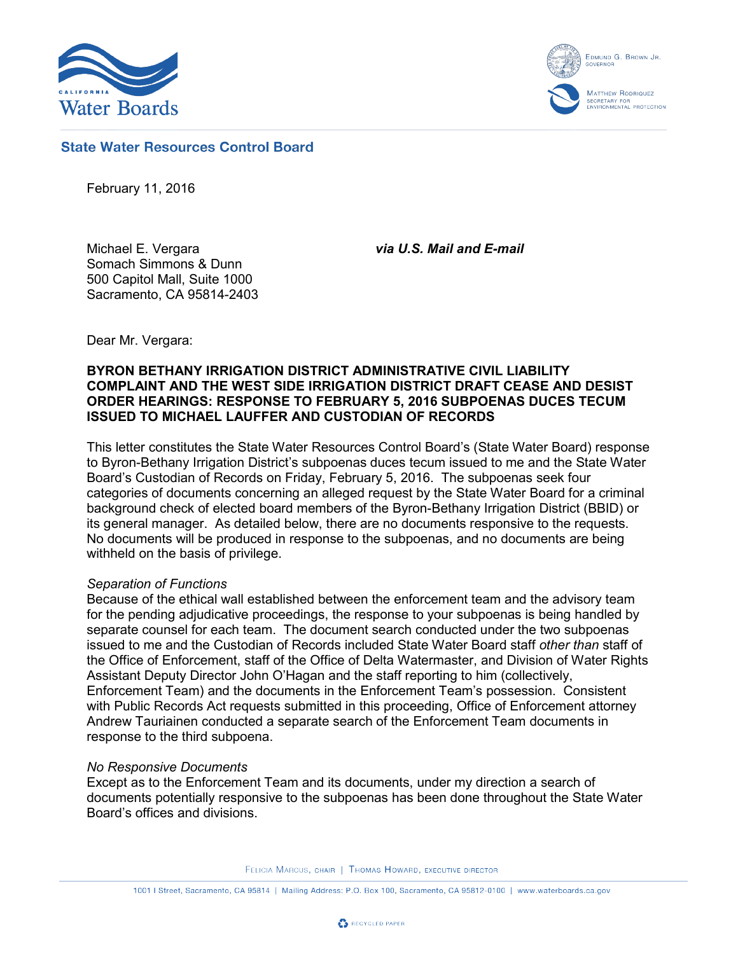

EDMUND G. BROWN JR. MATTHEW RODRIQUEZ ECRETARY FOR<br>VVIRONMENTAL PROTECTION

## **State Water Resources Control Board**

February 11, 2016

Michael E. Vergara Somach Simmons & Dunn 500 Capitol Mall, Suite 1000 Sacramento, CA 95814-2403 *via U.S. Mail and E-mail*

Dear Mr. Vergara:

## **BYRON BETHANY IRRIGATION DISTRICT ADMINISTRATIVE CIVIL LIABILITY COMPLAINT AND THE WEST SIDE IRRIGATION DISTRICT DRAFT CEASE AND DESIST ORDER HEARINGS: RESPONSE TO FEBRUARY 5, 2016 SUBPOENAS DUCES TECUM ISSUED TO MICHAEL LAUFFER AND CUSTODIAN OF RECORDS**

This letter constitutes the State Water Resources Control Board's (State Water Board) response to Byron-Bethany Irrigation District's subpoenas duces tecum issued to me and the State Water Board's Custodian of Records on Friday, February 5, 2016. The subpoenas seek four categories of documents concerning an alleged request by the State Water Board for a criminal background check of elected board members of the Byron-Bethany Irrigation District (BBID) or its general manager. As detailed below, there are no documents responsive to the requests. No documents will be produced in response to the subpoenas, and no documents are being withheld on the basis of privilege.

### *Separation of Functions*

Because of the ethical wall established between the enforcement team and the advisory team for the pending adjudicative proceedings, the response to your subpoenas is being handled by separate counsel for each team. The document search conducted under the two subpoenas issued to me and the Custodian of Records included State Water Board staff *other than* staff of the Office of Enforcement, staff of the Office of Delta Watermaster, and Division of Water Rights Assistant Deputy Director John O'Hagan and the staff reporting to him (collectively, Enforcement Team) and the documents in the Enforcement Team's possession. Consistent with Public Records Act requests submitted in this proceeding, Office of Enforcement attorney Andrew Tauriainen conducted a separate search of the Enforcement Team documents in response to the third subpoena.

#### *No Responsive Documents*

Except as to the Enforcement Team and its documents, under my direction a search of documents potentially responsive to the subpoenas has been done throughout the State Water Board's offices and divisions.

FELICIA MARCUS, CHAIR | THOMAS HOWARD, EXECUTIVE DIRECTOR

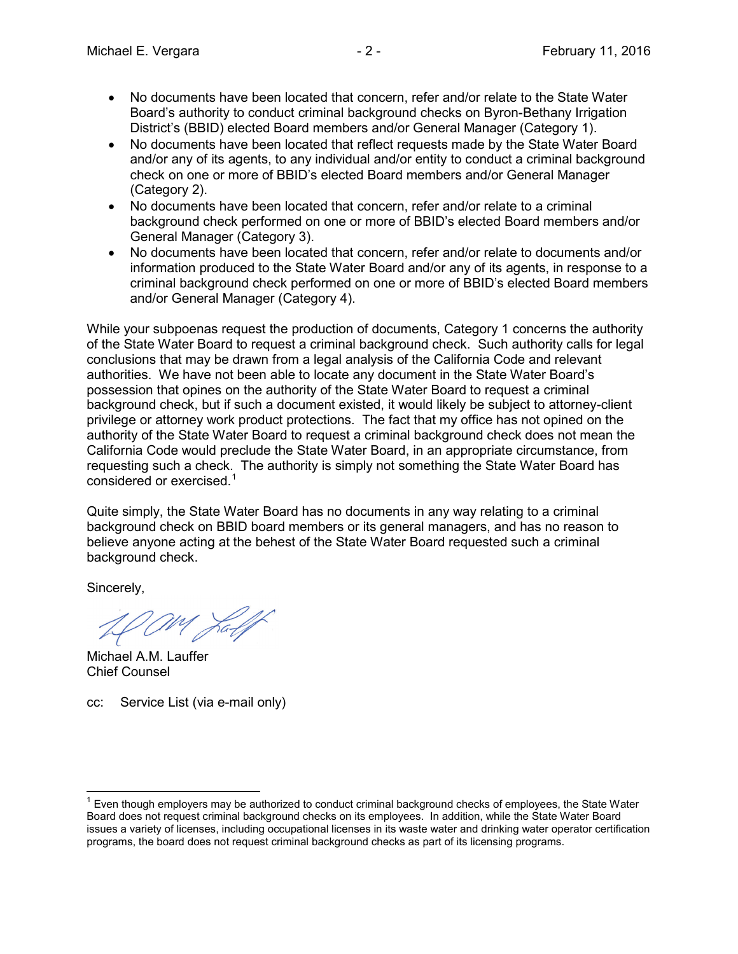- No documents have been located that concern, refer and/or relate to the State Water Board's authority to conduct criminal background checks on Byron-Bethany Irrigation District's (BBID) elected Board members and/or General Manager (Category 1).
- No documents have been located that reflect requests made by the State Water Board and/or any of its agents, to any individual and/or entity to conduct a criminal background check on one or more of BBID's elected Board members and/or General Manager (Category 2).
- No documents have been located that concern, refer and/or relate to a criminal background check performed on one or more of BBID's elected Board members and/or General Manager (Category 3).
- No documents have been located that concern, refer and/or relate to documents and/or information produced to the State Water Board and/or any of its agents, in response to a criminal background check performed on one or more of BBID's elected Board members and/or General Manager (Category 4).

While your subpoenas request the production of documents, Category 1 concerns the authority of the State Water Board to request a criminal background check. Such authority calls for legal conclusions that may be drawn from a legal analysis of the California Code and relevant authorities. We have not been able to locate any document in the State Water Board's possession that opines on the authority of the State Water Board to request a criminal background check, but if such a document existed, it would likely be subject to attorney-client privilege or attorney work product protections. The fact that my office has not opined on the authority of the State Water Board to request a criminal background check does not mean the California Code would preclude the State Water Board, in an appropriate circumstance, from requesting such a check. The authority is simply not something the State Water Board has considered or exercised.<sup>[1](#page-1-0)</sup>

Quite simply, the State Water Board has no documents in any way relating to a criminal background check on BBID board members or its general managers, and has no reason to believe anyone acting at the behest of the State Water Board requested such a criminal background check.

Sincerely,

am Jalf

Michael A.M. Lauffer Chief Counsel

cc: Service List (via e-mail only)

<span id="page-1-0"></span> $<sup>1</sup>$  Even though employers may be authorized to conduct criminal background checks of employees, the State Water</sup> Board does not request criminal background checks on its employees. In addition, while the State Water Board issues a variety of licenses, including occupational licenses in its waste water and drinking water operator certification programs, the board does not request criminal background checks as part of its licensing programs.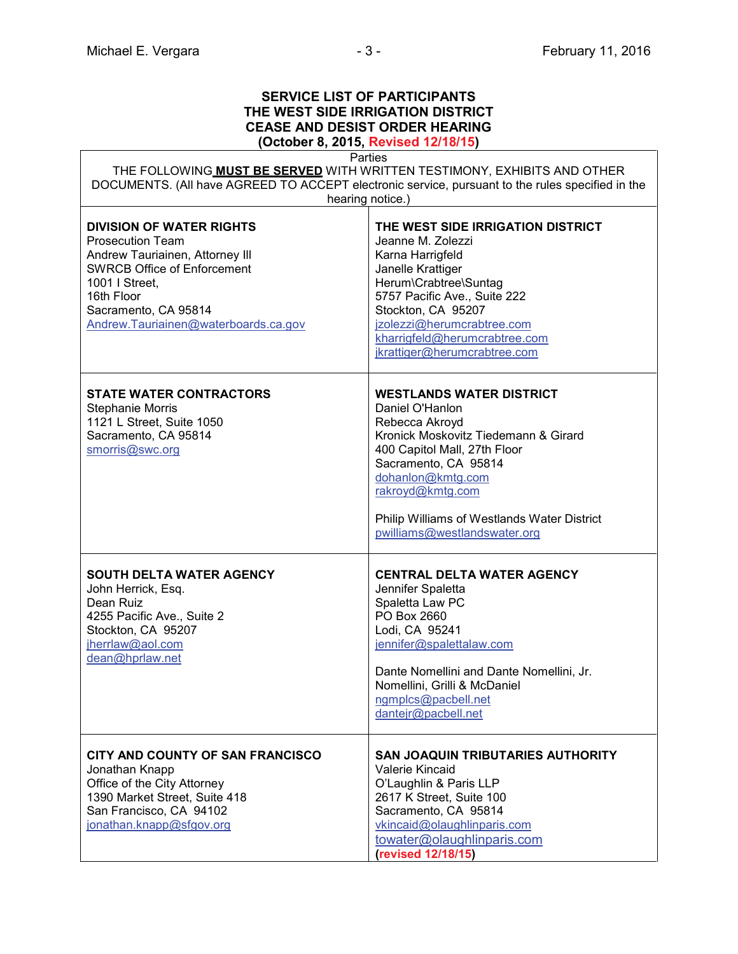# **SERVICE LIST OF PARTICIPANTS THE WEST SIDE IRRIGATION DISTRICT CEASE AND DESIST ORDER HEARING**

**(October 8, 2015, Revised 12/18/15)**

| Parties<br>THE FOLLOWING MUST BE SERVED WITH WRITTEN TESTIMONY, EXHIBITS AND OTHER<br>DOCUMENTS. (All have AGREED TO ACCEPT electronic service, pursuant to the rules specified in the                                              |                                                                                                                                                                                                                                                                                                   |  |
|-------------------------------------------------------------------------------------------------------------------------------------------------------------------------------------------------------------------------------------|---------------------------------------------------------------------------------------------------------------------------------------------------------------------------------------------------------------------------------------------------------------------------------------------------|--|
| <b>DIVISION OF WATER RIGHTS</b><br><b>Prosecution Team</b><br>Andrew Tauriainen, Attorney III<br><b>SWRCB Office of Enforcement</b><br>1001   Street,<br>16th Floor<br>Sacramento, CA 95814<br>Andrew.Tauriainen@waterboards.ca.gov | hearing notice.)<br>THE WEST SIDE IRRIGATION DISTRICT<br>Jeanne M. Zolezzi<br>Karna Harrigfeld<br>Janelle Krattiger<br>Herum\Crabtree\Suntag<br>5757 Pacific Ave., Suite 222<br>Stockton, CA 95207<br>jzolezzi@herumcrabtree.com<br>kharrigfeld@herumcrabtree.com<br>jkrattiger@herumcrabtree.com |  |
| <b>STATE WATER CONTRACTORS</b><br><b>Stephanie Morris</b><br>1121 L Street, Suite 1050<br>Sacramento, CA 95814<br>smorris@swc.org                                                                                                   | <b>WESTLANDS WATER DISTRICT</b><br>Daniel O'Hanlon<br>Rebecca Akroyd<br>Kronick Moskovitz Tiedemann & Girard<br>400 Capitol Mall, 27th Floor<br>Sacramento, CA 95814<br>dohanlon@kmtg.com<br>rakroyd@kmtg.com<br>Philip Williams of Westlands Water District<br>pwilliams@westlandswater.org      |  |
| <b>SOUTH DELTA WATER AGENCY</b><br>John Herrick, Esq.<br>Dean Ruiz<br>4255 Pacific Ave., Suite 2<br>Stockton, CA 95207<br>jherrlaw@aol.com<br>dean@hprlaw.net                                                                       | <b>CENTRAL DELTA WATER AGENCY</b><br>Jennifer Spaletta<br>Spaletta Law PC<br>PO Box 2660<br>Lodi, CA 95241<br>jennifer@spalettalaw.com<br>Dante Nomellini and Dante Nomellini, Jr.<br>Nomellini, Grilli & McDaniel<br>ngmplcs@pacbell.net<br>dantejr@pacbell.net                                  |  |
| CITY AND COUNTY OF SAN FRANCISCO<br>Jonathan Knapp<br>Office of the City Attorney<br>1390 Market Street, Suite 418<br>San Francisco, CA 94102<br>jonathan.knapp@sfgov.org                                                           | <b>SAN JOAQUIN TRIBUTARIES AUTHORITY</b><br>Valerie Kincaid<br>O'Laughlin & Paris LLP<br>2617 K Street, Suite 100<br>Sacramento, CA 95814<br>vkincaid@olaughlinparis.com<br>towater@olaughlinparis.com<br>(revised 12/18/15)                                                                      |  |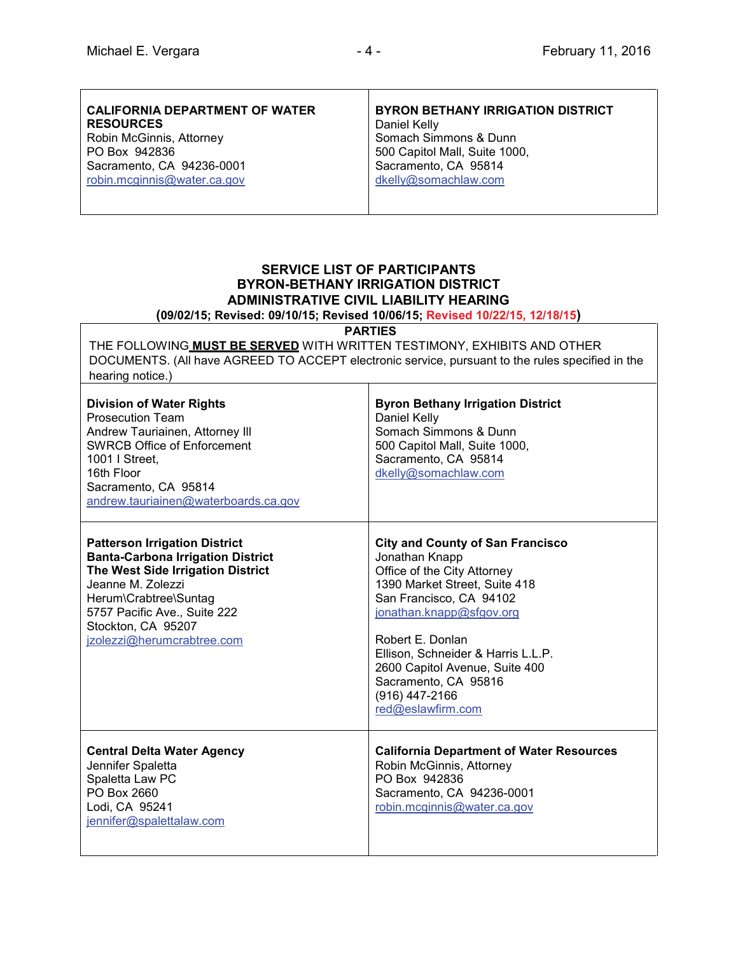| <b>CALIFORNIA DEPARTMENT OF WATER</b><br><b>RESOURCES</b> | <b>BYRON BETHANY IRRIGATION DISTRICT</b><br>Daniel Kelly |
|-----------------------------------------------------------|----------------------------------------------------------|
| Robin McGinnis, Attorney                                  | Somach Simmons & Dunn                                    |
| PO Box 942836                                             | 500 Capitol Mall, Suite 1000,                            |
| Sacramento, CA 94236-0001                                 | Sacramento, CA 95814                                     |
| robin.mcginnis@water.ca.gov                               | dkelly@somachlaw.com                                     |
|                                                           |                                                          |

## **SERVICE LIST OF PARTICIPANTS BYRON-BETHANY IRRIGATION DISTRICT ADMINISTRATIVE CIVIL LIABILITY HEARING**

**(09/02/15; Revised: 09/10/15; Revised 10/06/15; Revised 10/22/15, 12/18/15)**

**PARTIES**

THE FOLLOWING **MUST BE SERVED** WITH WRITTEN TESTIMONY, EXHIBITS AND OTHER DOCUMENTS. (All have AGREED TO ACCEPT electronic service, pursuant to the rules specified in the hearing notice.)

| <b>Division of Water Rights</b><br><b>Prosecution Team</b><br>Andrew Tauriainen, Attorney III<br><b>SWRCB Office of Enforcement</b><br>1001   Street.<br>16th Floor<br>Sacramento, CA 95814<br>andrew.tauriainen@waterboards.ca.gov                     | <b>Byron Bethany Irrigation District</b><br>Daniel Kelly<br>Somach Simmons & Dunn<br>500 Capitol Mall, Suite 1000,<br>Sacramento, CA 95814<br>dkelly@somachlaw.com                                                                                                                                                                          |
|---------------------------------------------------------------------------------------------------------------------------------------------------------------------------------------------------------------------------------------------------------|---------------------------------------------------------------------------------------------------------------------------------------------------------------------------------------------------------------------------------------------------------------------------------------------------------------------------------------------|
| <b>Patterson Irrigation District</b><br><b>Banta-Carbona Irrigation District</b><br>The West Side Irrigation District<br>Jeanne M. Zolezzi<br>Herum\Crabtree\Suntag<br>5757 Pacific Ave., Suite 222<br>Stockton, CA 95207<br>jzolezzi@herumcrabtree.com | <b>City and County of San Francisco</b><br>Jonathan Knapp<br>Office of the City Attorney<br>1390 Market Street, Suite 418<br>San Francisco, CA 94102<br>jonathan.knapp@sfgov.org<br>Robert E. Donlan<br>Ellison, Schneider & Harris L.L.P.<br>2600 Capitol Avenue, Suite 400<br>Sacramento, CA 95816<br>(916) 447-2166<br>red@eslawfirm.com |
| <b>Central Delta Water Agency</b><br>Jennifer Spaletta<br>Spaletta Law PC<br>PO Box 2660<br>Lodi, CA 95241<br>jennifer@spalettalaw.com                                                                                                                  | <b>California Department of Water Resources</b><br>Robin McGinnis, Attorney<br>PO Box 942836<br>Sacramento, CA 94236-0001<br>robin.mcginnis@water.ca.gov                                                                                                                                                                                    |